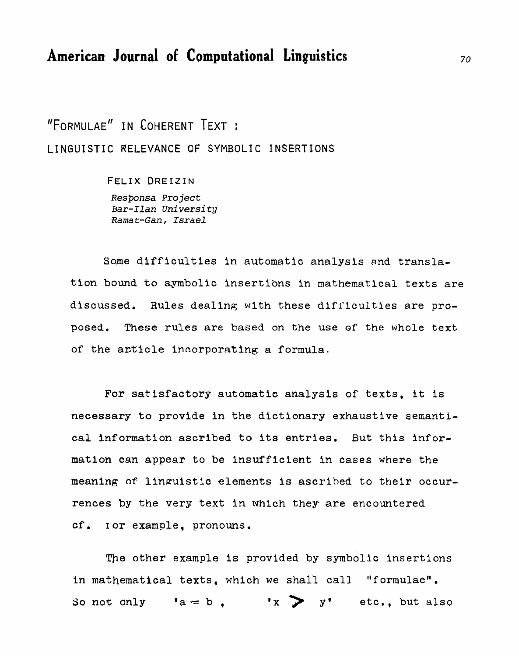## **American Journal of Computational Linguistics**

"FORMULAE" IN COHERENT TEXT : **LINGUISTIC RELEVANCE** OF SYMBOLIC **INSERTIONS** 

> FELIX DREIZIN *Respunsa* **Project**  *Bar-Ilan Universi* **ty Ramat-Gan,** *Israel*

Some difficulties in automatic analysis and translation **bound to symbolic insertions in mathematical texts** are **discussed. Rules dealins with these** difficulties are pro**posed,** These **rules** are **based on the use of the whole text**  of the article incorporating a formula.

**For satisfactory automatic analysis of texts, it is**  necessary to provide in the dictionary exhaustive semanti**cal Information ascribed to its entries.** But **this** infor**mation can** appear **to be insufficient in** cases **where the meaning** of! **linauistic elements is** ascribed **to their occurrences by** the **very text in whlch** they. are encountered **cf** . **I or example, pronouns.** 

The other **example is provided by symbolic insertions**  in mathematical texts, which we shall call "formulae". **So not only 'a = b**,  $\mathbf{x} > \mathbf{y}$ ' etc., but also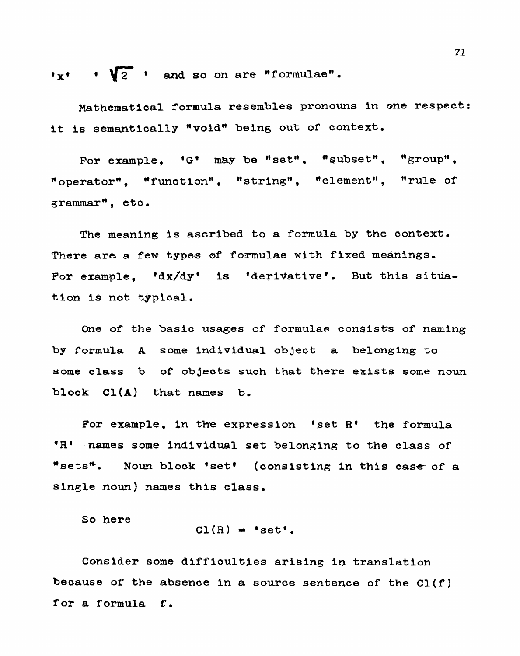$\mathbf{v}_x \cdot \mathbf{v}_2$  and so on are "formulae".

**Mathematical formula resembles pronouns in one respect:**  it is semantically **\*void**\* being out of context.

For example, 'G' may be "set", "subset", "group",  $*$  operator<sup>\*</sup>, \*function<sup>\*</sup>, \*string", \*element", \*rule of **grammarH, eto.** 

**The meaning is ascribed ta a formula by the context.**  There are a few types of formulae with fixed meanings. For example, 'dx/dy' is 'derivative'. But this situation **1s** not **typical.** 

One of the basic usages of formulae consists of naming **by formula A some individual object a belonging to some class b of objects such** that there **exists some** noun **block Cl(A) that names b.** 

For example, in the expression 'set R' the formula **\*R' names some individual set belonging to the class of %etsN-. Noun block @seta (consisting in this case- of a single -noun) names this class.** 

**So here** 

$$
CI(R) = 'set',
$$

Consider some difficulties arising in translation **because of** the **absence in a source sentence of the Cl(f)**  for **a formula E.**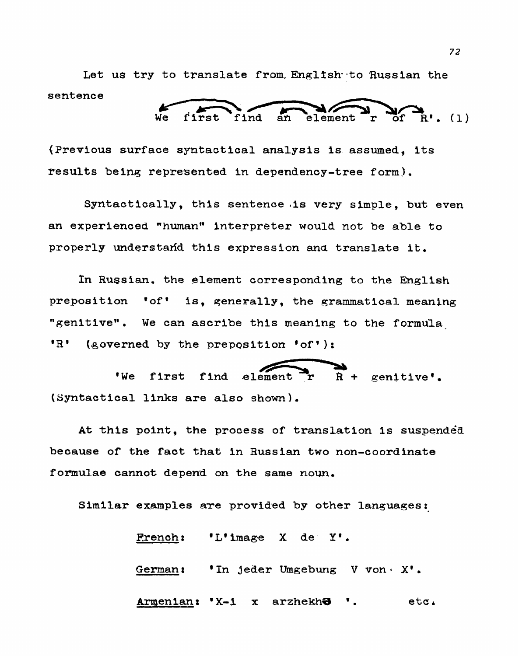Let us try to translate from, English to Russian the **sentence**  to translate from English to Russ!

**r of Rv. (1)** 

**(Previous surface syntactical analysis is, assumed, its**   $results$  being represented in dependency-tree form).

Syntactically, **this sentence (is very simple, but even an experienced** "humanq\* **interpreter would** not **be able** to **properly understadd this expression and translate it.** 

**h Russian.** the **element corresponding to the English preposition ?ofv is, generally, the grammatical meaning wgenltivell. We can ascribe this meaning to** the formula **Example 32** is the started that is expression and translate it.<br>
In Russian, the element corresponding to the English<br>
preposition 'of' is, generally, the grammatical meaning<br>
"genitive". We can ascribe this meaning to th

**\*We first find element r R** + **genitive'. (Syntactical links are also shown).** 

**At ^this point, the process of translation is suspendea because of the** fact that **in Russian two non-coordinate formulae cannot depend on the same** now.

Similar examples are provided by other languages:

'L'image  $X$  de  $Y'$ . **French: German** : **In jeder** Umgebung **V von o X\*** . Armenian: 'X-1 arzhekh**ə**  $etc.$  $\mathbf x$ ٠.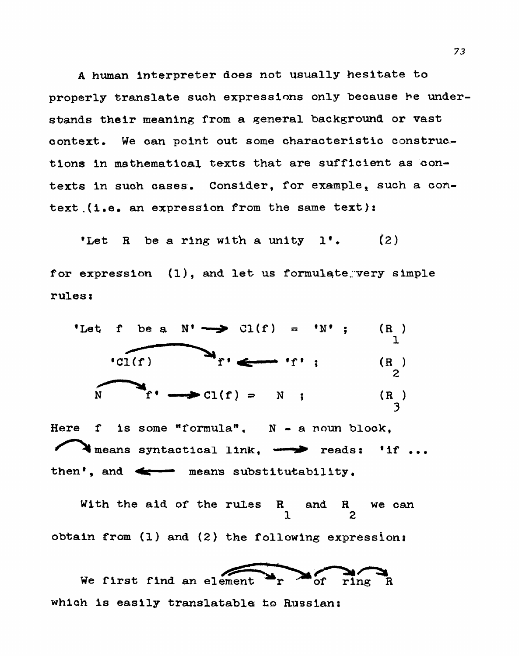**<sup>A</sup>human interpreter does** not **usually hesitate to properly translate such expressions only because he understmnds their meaning from a general background or vast context. We can point out some characteristic construe- tions in mathematical texts that** are sufficient **as contexts in such cases. Consider,** for **example, such a context.(i.e. an expression From the same text):** 

**'Let R be a ring with a unity I\*.** (2 for expression (1), and let us formulate very simple **rules** *<sup>t</sup>*



**Here f is some flformulan, N** - **a** noun **block,** 

**With the aid of the rules R and R we can**  $\frac{1}{2}$ **1 2 obtain from (1) and (2) the following expressions**  With the aid of the rules R and R we can<br>  $\frac{1}{2}$ <br>
in from (1) and (2) the following expression:<br>
We first find an element<br>  $\frac{1}{2}$ <br>
We first find an element<br>  $\frac{1}{2}$ <br>  $\frac{1}{2}$ <br>  $\frac{1}{2}$ <br>  $\frac{1}{2}$ <br>  $\frac{1}{2}$ <br>  $\frac$ 

of  $\sum_{\text{rine } R}$ **'of ring R**  which is easily translatable to Russian: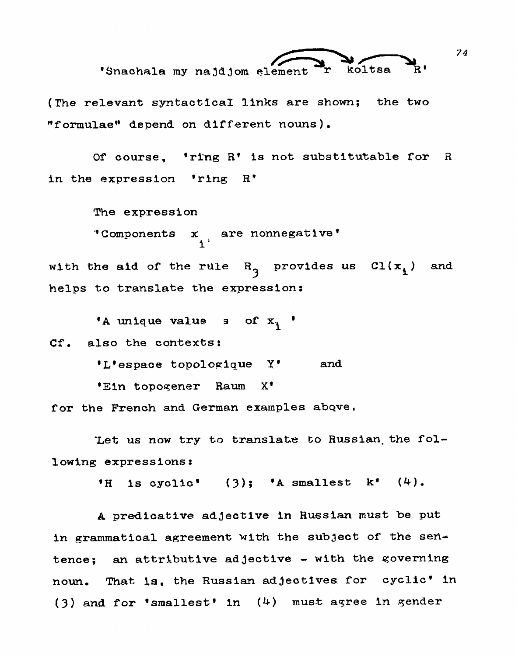

(The relevant syntactical links are shown; the two "formulae" depend on different nouns).

Of course, 'ring R' is not substitutable for R in the expression 'ring R'

The expression

"Components  $x_{i}$  are nonnegative"

with the aid of the rule  $R_3$  provides us  $Cl(x_1)$ and helps to translate the expression:

'A unique value  $\alpha$  of  $x_1$  '

Cf. also the contexts:

'L'espace topologique Y' and

'Ein topogener Raum  $X^{\bullet}$ 

for the French and German examples above.

Let us now try to translate to Russian the following expressions:

'H is cyclic'  $(3)$ ; 'A smallest k'  $(4)$ .

A predicative adjective in Russian must be put in grammatical agreement with the subject of the sentence; an attributive adjective - with the governing That is, the Russian adjectives for cyclic' in noun.  $(3)$  and for 'smallest' in  $(4)$  must agree in gender

74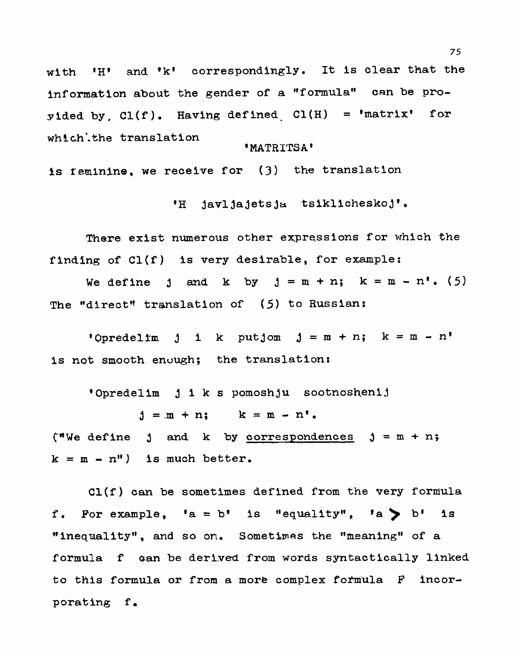with 'H' and 'k' correspondingly. It is clear that the information about the gender of a "formula" can be proyided by,  $Cl(f)$ . Having defined  $Cl(H)$  = 'matrix' for which the translation

### 'MATRITSA'

is feminine, we receive for (3) the translation

'H javljajetsja tsiklicheskoj'.

There exist numerous other expressions for which the finding of Cl(f) is very desirable, for example:

We define j and k by  $j = m + n$ ;  $k = m - n'$ . (5) The "direct" translation of (5) to Russian:

'Opredelim j i k putjom  $j = m + n$ ; k = m - n' is not smooth enough; the translation:

'Opredelim j i k s pomoshju sootnoshenij

 $j = m + n;$   $k = m - n'.$ 

("We define j and k by correspondences  $j = m + n$ ;  $k = m - n$ ") is much better.

 $CI(f)$  can be sometimes defined from the very formula f. For example, 'a = b' is "equality", 'a > b' is "inequality", and so on. Sometimes the "meaning" of a formula f can be derived from words syntactically linked to this formula or from a more complex formula F incorporating f.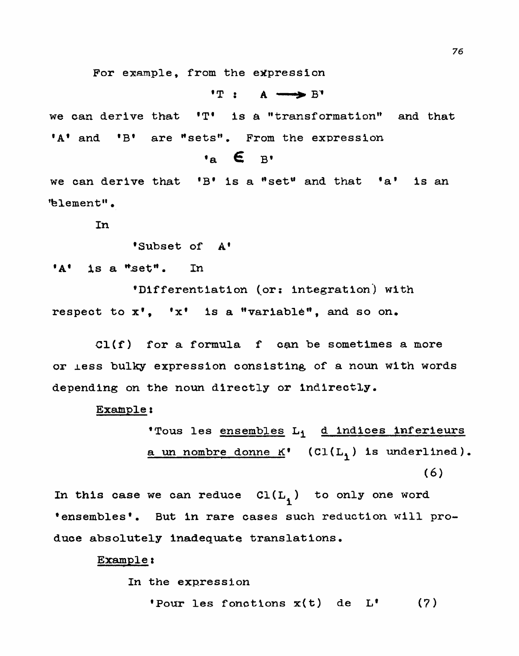For example, from the expression

 $T: A \longrightarrow B$ 

we can derive that 'T' is a "transformation" and that **A and B are "sets"**. From the expression

$$
\mathbf{a} \in \mathbb{B}^*
$$

**we can derive** that **'B' is a "setu and that** 'ap **is an**  "blement".

In

**'Subset of A'** 

**A@ is a \*.setN. In** 

'Differentiation (or: integration) with respect to  $x^{\dagger}$ , 'x' is a "variable", and so on.

**Cl(f)** for **a formula f can be sometimes a** more **or less bulky expression consisting of a noun with words depending on the** noun directly **or Indirectly.** 

Example:

**'Tous les ensembles Li d indices lnferieurs**   $\underline{\mathbf{a}}$  un nombre donne  $K'$  (Cl(L<sub>1</sub>) is underlined).  $(6)$ 

In this case we can reduce  $Cl(L_1)$  to only one word **\*ensembles\*. But in rare cases such reduction will produce absolutely inadequate translations,** 

### **Example t**

**In the expression** 

**'Pour les fonctlons x(t) de Lg**  $(7)$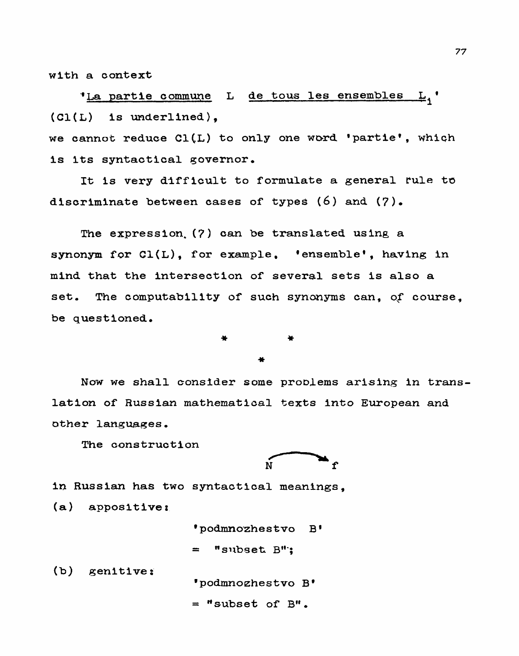**with a context** 

**,La partie** cornwe **L de tous les ensembles Li** ' **(Cl(L) is underlined),** 

we cannot reduce C1(L) to only one word 'partie', which **Is its syntactical governor,** 

It is very difficult to formulate a general rule to **discriminate between cases of typee (6) and** (7).

The **expression. (7) om be translated using a**  synonym for  $Cl(L)$ , for example, 'ensemble', having in **mind** that **the intersection of several sets is also a set.** The **computability of such** synonyms **can, of course, be questioned,** 

Now we shall consider some problems arising in trans**lation of Russian mathematical texts into European and**  other **languages.** 

**The construction** 



**in Russian has two syntactical** meanings,

**(a) appositive:,** 

'podmnozhestvo  $-B<sup>1</sup>$ 

"subset B":  $\blacksquare$ 

**(b) genitive:'** 

'podmnozhestvo B'

 $=$  "subset of  $B$ ".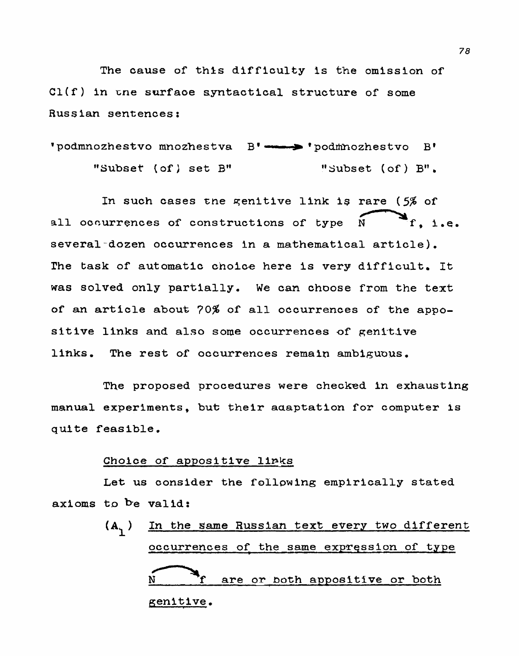**The cause of thls difficulty is** the **omission of Cl(f) in** r;ne **surfaoe syntactical structure of some Russian sentences:** 

```
lpodmnozhestvo mnozhestva Bv- 'podrnozhestvo Bp 
     "SubseT (of 1 set B" "Subset (of) Bn.
```
In such cases the genitive link is rare (5% of zhestvo B'<br>et (of) B".<br>rare (5% of<br>N<br>f, i all occurrences of constructions of type  $\tilde{N}$  **f**, i.e. **several-dozen occurrences in a mathematical article).**  The **task of automatic** cho1c.e here **is very difficult. It**  was solved only partially. We can choose from the text **of an article about 70% of all occurrences of** the **appo** $s$ **itive links and also some occurrences of genitive links, The rest of occurrences remain ambiguous.** 

The **proposed procedures were checked in exhausting manual experiments,** hue **their aaaptation** for **computer is quite feasible.** 

### **Choice of appositive links**

**Let us consider the following empirically stated ax h oms val id** :

**(A** ) **In** the **same Russian** text **every** two **different 1**  of appositive links<br>
consider the following empirically stated<br>
valid:<br>
In the same Russian text every two differen<br>
occurrences of the same expression of type<br> **A**<br> **occurrences of the same expression of type**<br> **occurrenc N f are or both appositive or** both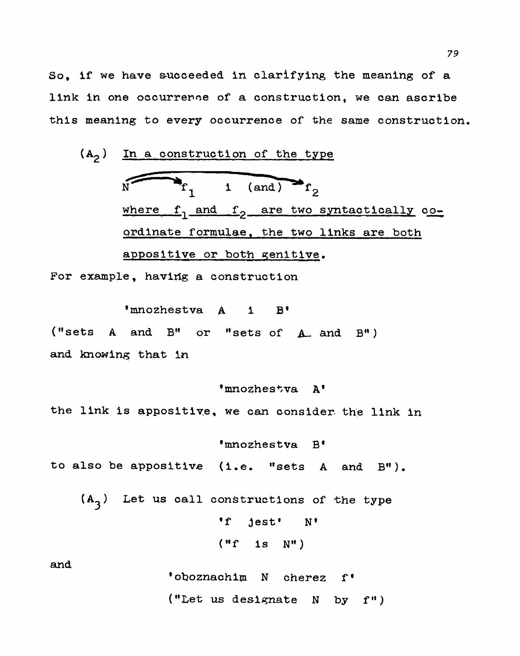**So, if we have s-ucceeded in clarifying the meaning of a link in one** occurreme **of a construction, we can ascribe this meaning to every occurrence of** the **same construction.** 

**(A~) In a.construction of the type**  where f<sub>l</sub> and f<sub>2</sub> are two syntactically **co**-**~rdinate formulae, the two links** are both **appositive or both qenitive.** 

For example, having a construction

'mnozhestva A 1 B' ("sets A and B" or "sets of A and B") **and** knowing **that in** 

the **link is appositiye, we** can **consider** the **link in** 

'mnozhestva A'

**\*mnozhestva Be to also be appositive (1.e. "sets A and B").** 

 $(A_3)$  Let us call constructions of the type **f jest' N\***   $("f 1s N")$ 

and

**\*oboznachim N** cherez **f\***  ("Let us designate N by f")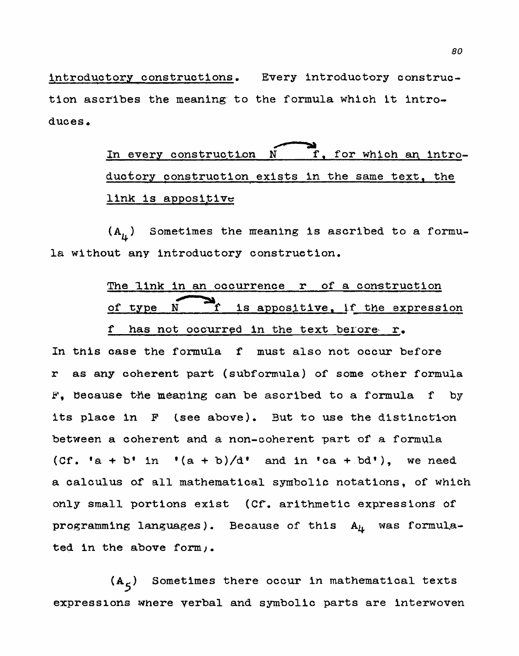introductory **construotions.** Every **introductory construc**tion ascribes the meaning to the formula which it intro**duces. 11** The meaning to the formula which it intro-<br> **In every construction N T, for which an intro-**

**ductory** construction **exists** in **the same text. the**  link is appositive

 $(A<sub>1</sub>)$  Sometimes the meaning is ascribed to a formula without any introductory construction.

# The **link in an** occurrence **r of a construction**  of type N Tf is appositive, if the expression

### **f has** not **occurred in the text berore. r,.**

In this case the formula f must also not occur before **r as any coherent part (subformula) of some other formula**  F. Because the meaning can be ascribed to a formula f by **its** place **In** F **tsee above).** Sut to **use** the **distinction between a** coherent **and a non-coherent** part **of a** formula  $(Cf. 'a + b' in '(a + b)/d'$  and in 'ca + bd'), we need **a calculus of' all mathematical** symbolic **notations, of which**  only **small portions exist (Cf. arithmetic expresssionS 0f programming languages). Because of this**  $A_{lt}$  **was formulated in the above form).** 

**(A** ) Sometimes there **occur in mathematical texts <sup>5</sup>** expressions **where verbal and symbolic parts are interwoven**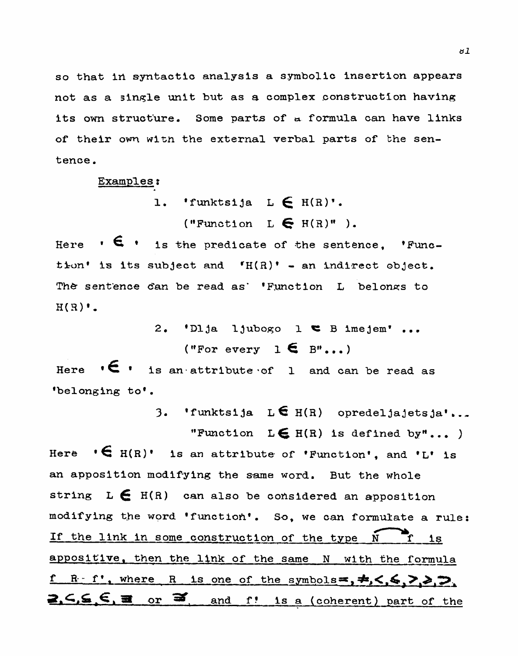so that in syntactic analysis a symbolic insertion appears not as a single unit but as a complex construction having its own structure. Some parts of a formula can have links of their own with the external verbal parts of the sentence.

Examples:

1. 'funktsija L  $\in$  H(R)'.

("Function  $L \in H(R)^n$ ).

Here  $\cdot$   $\epsilon$   $\cdot$  is the predicate of the sentence, 'Function' is its subject and  $f_{H}(R)^*$  - an indirect object. The sentence can be read as' 'Function L belongs to  $H(B)$ .

> 2. 'Dlja ljubogo l  $\epsilon$  B imejem'... ("For every  $1 \in B$ "...)

Here  $\cdot \in \cdot$  is an attribute of 1 and can be read as 'belonging to'.

3. 'funktsija L $\epsilon$  H(R) opredeljajetsja'...

"Function  $L \in H(R)$  is defined by"...)

Here  $\cdot \in$  H(R)' is an attribute of 'Function', and 'L' is an apposition modifying the same word. But the whole string  $L \in H(R)$  can also be considered an apposition modifying the word 'function'. So, we can formulate a rule: If the link in some construction of the type N f  $1s$ appositive, then the link of the same N with the formula f R. f', where R is one of the symbols=,  $\neq$ ,  $\leq$ ,  $\geq$ ,  $\geq$ ,  $2.6.5.5.3$  or  $\overline{3}$  and  $f$ ! is a (coherent) part of the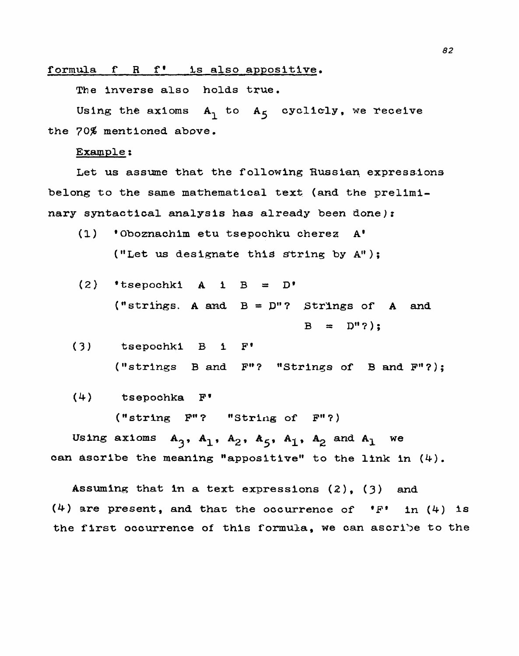formula **f R f' Ls also appositive.** 

The **inverse also holds true.** 

Using the  $axioms$   $A_1$  to  $A_5$  cyclicly, we receive the **70% mentioned above.** 

**Example** :

Let us assume that the following Russian expressions **belong to** the **same mathematical text (and the** prelimi**nary syntactical analysis has already been done):** 

- **(I)** @Oboenachim **etu tsepochku** cherea **A' ("Let us designate** thsiS string **by A"** ) ;
- $(2)$  **'tsepochki A i B = D' ("strings. A and B** = p"? **Strlngs of A and**   $B = D''$ ?);

**(3) tsepochki B 1 F' ("strings B and Fw? "Strings of 3 and F"?);** 

(4) **tsepochka Fg** 

**("string Fg'? "Stride; of Fw?)** 

**Using axioms**  $A_3$ **,**  $A_1$ **,**  $A_2$ **,**  $A_5$ **,**  $A_1$ **,**  $A_2$  **and**  $A_1$  **we can ascribe the meaning "appositive" to the link in** (4).

**Assuming** that In **<sup>a</sup>text expressions (2), 3 and**   $(4)$  are present, and that the occurrence of  $^{\bullet}$  **F**<sup> $\bullet$ </sup> 1n  $(4)$  is **the f1rs.t; occurrence of this formula, we Can ascri3e to** the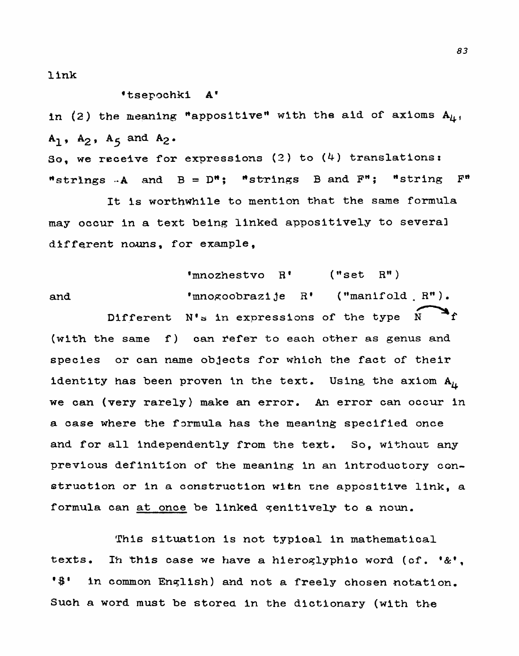**1 ink** 

### **'tsepachkl A'**

in (2) the meaning "appositive" with the aid of axioms  $A_{\mu}$ , **A1 A, A5 and A2** .

**So, we receive for expressions (2) to (4) translations:** "strings **-A and B** = **DM; \*stxings B and FH** ; **\*string F\*** 

**It is worthwhile to mention** that **the same formula may occur in a** text **being linked appositively to** several **d%ffe,rent** *noms,* **for example,** 

'mnozhestvo  $R'$  ("set  $R''$ ) and  $\bullet$  mnogoobrazije R' ("manifold R"). Different N's in expressions of the type  $\overrightarrow{N}$  **i** (with the same f) can refer to each other as genus and species or can name objects for which the fact of their **identity has been proven in the text.** Using the  $ax1$ om  $A_{\mu}$ **we can (very** rarely) **make an** error. **An error can occur in a case where the f~rmula has the** meaning **specified once**  and for all independently from the text. So, without any **previous definition of the meaning in an introductory** con**struction or in a** construction **wftn tne apposftive link, a**  formula can at once be linked genitively to a noun.

**This situation is** not **typical in mathematical texts, Ih thls case we have a hieroqlyphio word (cf.** '&', @\$' **in common Enqlish) and** not **a freely chosen notation. Such a word must be storea in the dictionary (wlth the**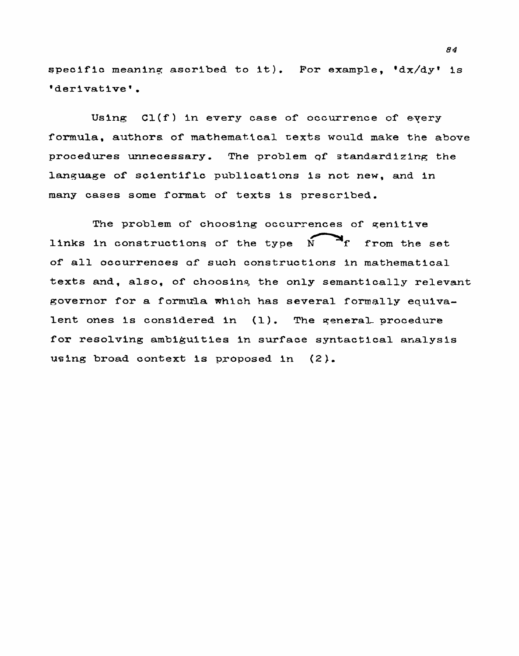$\frac{1}{2}$  **epecific** meaning ascribed to it). For example, 'dx/dy' is 'derivative'.

Using Cl(f) in every case of occurrence of every **formula,** authors **of mathematical cexts would nake the above procedures unnecessary. The problem qf standardizing** the language of scientific publications is not new, and in **many cases some format of texts is prescribed.** 

The problem of choosing occurrences of genitive **links in constructlons of the type N- f** from **the set of all occurrences af such constructions in mathematical texts and,** also, **of** choosinq the only **semantically relevant**  governor for **a** formmla **which has several** formally **equivalent ones Is considered in (1). The qeneral procedure for resolving ambiguities in** surface **syntactical arialysis using broad** context **Is proposed in (2** ).

**84**